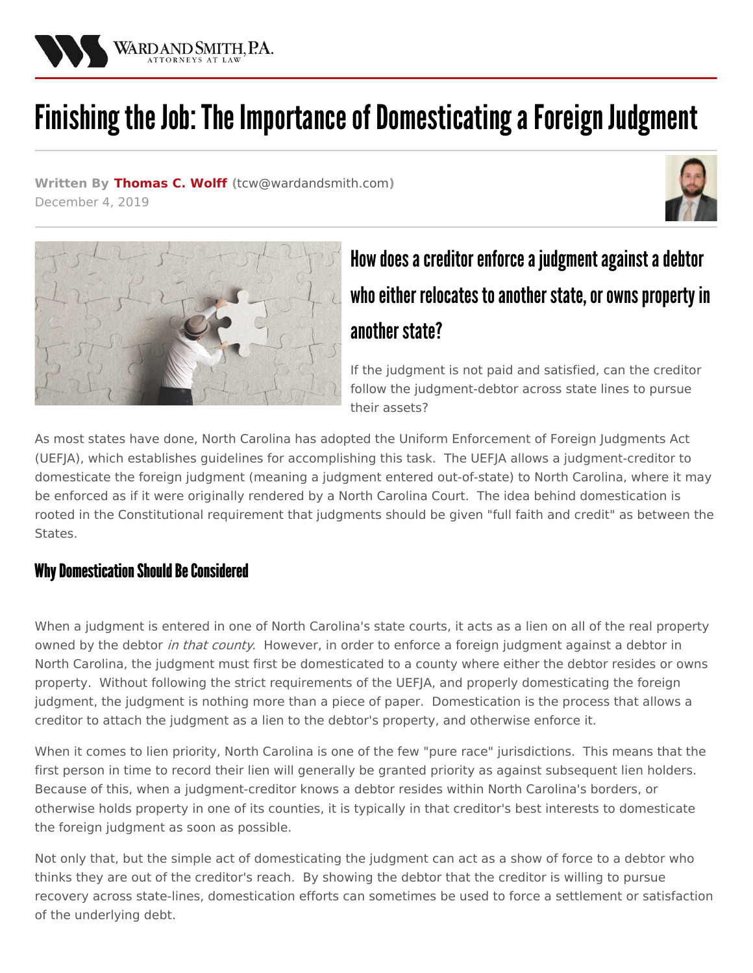

# Finishing the Job: The Importance of Domesticating a Foreign Judgment

**Written By [Thomas](/attorneys/thomas-wolff) C. Wolff (**[tcw@wardandsmith.com](mailto:tcw@wardandsmith.com)**)** December 4, 2019





## How does a creditor enforce a judgment against a debtor who either relocates to another state, or owns property in another state?

If the judgment is not paid and satisfied, can the creditor follow the judgment-debtor across state lines to pursue their assets?

As most states have done, North Carolina has adopted the Uniform Enforcement of Foreign Judgments Act (UEFJA), which establishes guidelines for accomplishing this task. The UEFJA allows a judgment-creditor to domesticate the foreign judgment (meaning a judgment entered out-of-state) to North Carolina, where it may be enforced as if it were originally rendered by a North Carolina Court. The idea behind domestication is rooted in the Constitutional requirement that judgments should be given "full faith and credit" as between the States.

#### Why Domestication Should Be Considered

When a judgment is entered in one of North Carolina's state courts, it acts as a lien on all of the real property owned by the debtor *in that county*. However, in order to enforce a foreign judgment against a debtor in North Carolina, the judgment must first be domesticated to a county where either the debtor resides or owns property. Without following the strict requirements of the UEFJA, and properly domesticating the foreign judgment, the judgment is nothing more than a piece of paper. Domestication is the process that allows a creditor to attach the judgment as a lien to the debtor's property, and otherwise enforce it.

When it comes to lien priority, North Carolina is one of the few "pure race" jurisdictions. This means that the first person in time to record their lien will generally be granted priority as against subsequent lien holders. Because of this, when a judgment-creditor knows a debtor resides within North Carolina's borders, or otherwise holds property in one of its counties, it is typically in that creditor's best interests to domesticate the foreign judgment as soon as possible.

Not only that, but the simple act of domesticating the judgment can act as a show of force to a debtor who thinks they are out of the creditor's reach. By showing the debtor that the creditor is willing to pursue recovery across state-lines, domestication efforts can sometimes be used to force a settlement or satisfaction of the underlying debt.